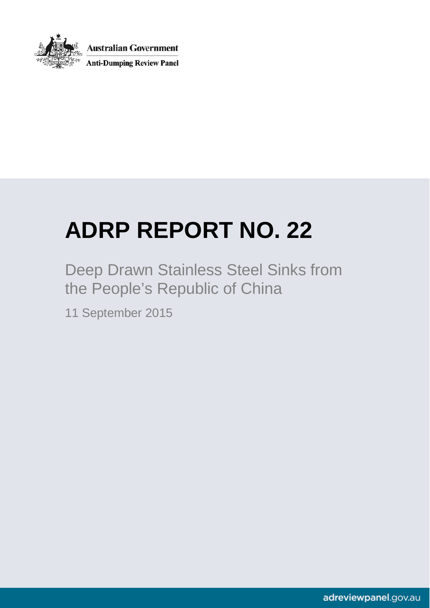

**Australian Government Anti-Dumping Review Panel** 

# <span id="page-0-0"></span>**ADRP REPORT NO. 22**

Deep Drawn Stainless Steel Sinks from the People's Republic of China

11 September 2015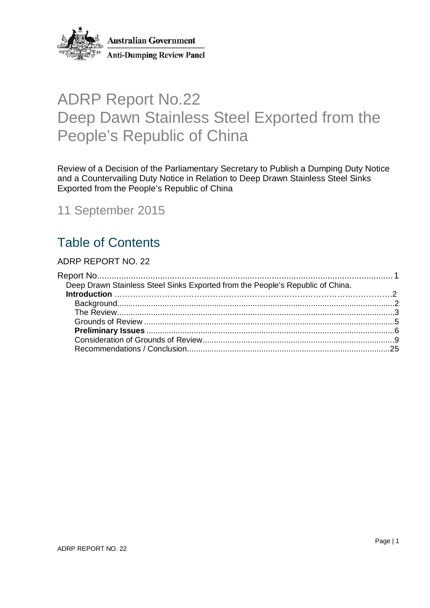

**Australian Government Anti-Dumping Review Panel** 

# ADRP Report No.22 Deep Dawn Stainless Steel Exported from the People's Republic of China

Review of a Decision of the Parliamentary Secretary to Publish a Dumping Duty Notice and a Countervailing Duty Notice in Relation to Deep Drawn Stainless Steel Sinks Exported from the People's Republic of China

11 September 2015

# Table of Contents

#### [ADRP REPORT NO.](#page-0-0) 22

<span id="page-1-0"></span>

| Deep Drawn Stainless Steel Sinks Exported from the People's Republic of China. |  |
|--------------------------------------------------------------------------------|--|
|                                                                                |  |
|                                                                                |  |
|                                                                                |  |
|                                                                                |  |
|                                                                                |  |
|                                                                                |  |
|                                                                                |  |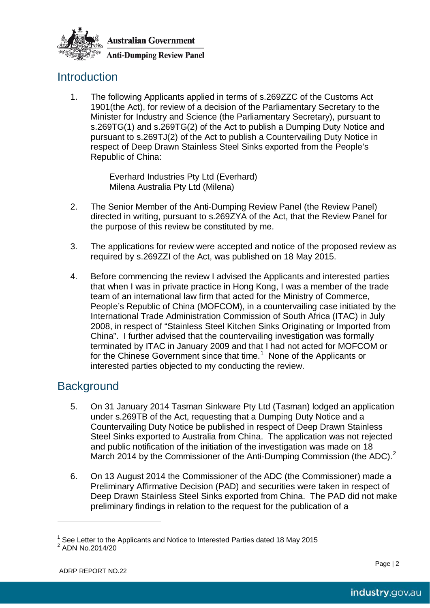

**Anti-Dumping Review Panel** 

## <span id="page-2-0"></span>**Introduction**

1. The following Applicants applied in terms of s.269ZZC of the Customs Act 1901(the Act), for review of a decision of the Parliamentary Secretary to the Minister for Industry and Science (the Parliamentary Secretary), pursuant to s.269TG(1) and s.269TG(2) of the Act to publish a Dumping Duty Notice and pursuant to s.269TJ(2) of the Act to publish a Countervailing Duty Notice in respect of Deep Drawn Stainless Steel Sinks exported from the People's Republic of China:

> Everhard Industries Pty Ltd (Everhard) Milena Australia Pty Ltd (Milena)

- 2. The Senior Member of the Anti-Dumping Review Panel (the Review Panel) directed in writing, pursuant to s.269ZYA of the Act, that the Review Panel for the purpose of this review be constituted by me.
- 3. The applications for review were accepted and notice of the proposed review as required by s.269ZZI of the Act, was published on 18 May 2015.
- 4. Before commencing the review I advised the Applicants and interested parties that when I was in private practice in Hong Kong, I was a member of the trade team of an international law firm that acted for the Ministry of Commerce, People's Republic of China (MOFCOM), in a countervailing case initiated by the International Trade Administration Commission of South Africa (ITAC) in July 2008, in respect of "Stainless Steel Kitchen Sinks Originating or Imported from China". I further advised that the countervailing investigation was formally terminated by ITAC in January 2009 and that I had not acted for MOFCOM or for the Chinese Government since that time.<sup>[1](#page-2-2)</sup> None of the Applicants or interested parties objected to my conducting the review.

## <span id="page-2-1"></span>**Background**

- 5. On 31 January 2014 Tasman Sinkware Pty Ltd (Tasman) lodged an application under s.269TB of the Act, requesting that a Dumping Duty Notice and a Countervailing Duty Notice be published in respect of Deep Drawn Stainless Steel Sinks exported to Australia from China. The application was not rejected and public notification of the initiation of the investigation was made on 18 March [2](#page-2-3)014 by the Commissioner of the Anti-Dumping Commission (the ADC).<sup>2</sup>
- 6. On 13 August 2014 the Commissioner of the ADC (the Commissioner) made a Preliminary Affirmative Decision (PAD) and securities were taken in respect of Deep Drawn Stainless Steel Sinks exported from China. The PAD did not make preliminary findings in relation to the request for the publication of a

 $\overline{a}$ 

<span id="page-2-2"></span><sup>&</sup>lt;sup>1</sup> See Letter to the Applicants and Notice to Interested Parties dated 18 May 2015<br><sup>2</sup> ADN No.2014/20

<span id="page-2-3"></span>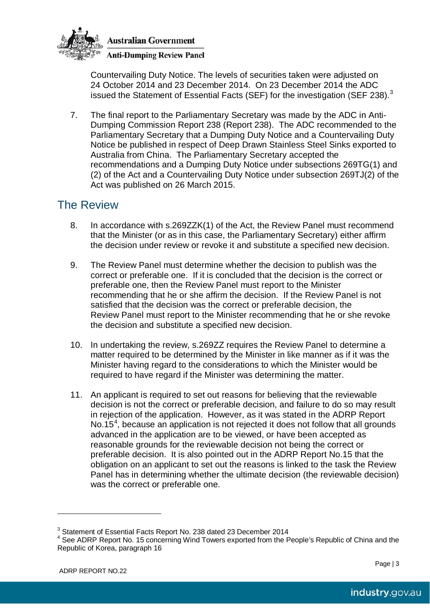

**Anti-Dumping Review Panel** 

Countervailing Duty Notice. The levels of securities taken were adjusted on 24 October 2014 and 23 December 2014. On 23 December 2014 the ADC issued the Statement of Essential Facts (SEF) for the investigation (SEF 2[3](#page-3-1)8).<sup>3</sup>

7. The final report to the Parliamentary Secretary was made by the ADC in Anti-Dumping Commission Report 238 (Report 238). The ADC recommended to the Parliamentary Secretary that a Dumping Duty Notice and a Countervailing Duty Notice be published in respect of Deep Drawn Stainless Steel Sinks exported to Australia from China. The Parliamentary Secretary accepted the recommendations and a Dumping Duty Notice under subsections 269TG(1) and (2) of the Act and a Countervailing Duty Notice under subsection 269TJ(2) of the Act was published on 26 March 2015.

## <span id="page-3-0"></span>The Review

- 8. In accordance with s.269ZZK(1) of the Act, the Review Panel must recommend that the Minister (or as in this case, the Parliamentary Secretary) either affirm the decision under review or revoke it and substitute a specified new decision.
- 9. The Review Panel must determine whether the decision to publish was the correct or preferable one. If it is concluded that the decision is the correct or preferable one, then the Review Panel must report to the Minister recommending that he or she affirm the decision. If the Review Panel is not satisfied that the decision was the correct or preferable decision, the Review Panel must report to the Minister recommending that he or she revoke the decision and substitute a specified new decision.
- 10. In undertaking the review, s.269ZZ requires the Review Panel to determine a matter required to be determined by the Minister in like manner as if it was the Minister having regard to the considerations to which the Minister would be required to have regard if the Minister was determining the matter.
- 11. An applicant is required to set out reasons for believing that the reviewable decision is not the correct or preferable decision, and failure to do so may result in rejection of the application. However, as it was stated in the ADRP Report No.15 $4$ , because an application is not rejected it does not follow that all grounds advanced in the application are to be viewed, or have been accepted as reasonable grounds for the reviewable decision not being the correct or preferable decision. It is also pointed out in the ADRP Report No.15 that the obligation on an applicant to set out the reasons is linked to the task the Review Panel has in determining whether the ultimate decision (the reviewable decision) was the correct or preferable one.

 $\overline{a}$ 

<span id="page-3-2"></span><span id="page-3-1"></span>

<sup>&</sup>lt;sup>3</sup> Statement of Essential Facts Report No. 238 dated 23 December 2014<br><sup>4</sup> See ADRP Report No. 15 concerning Wind Towers exported from the People's Republic of China and the Republic of Korea, paragraph 16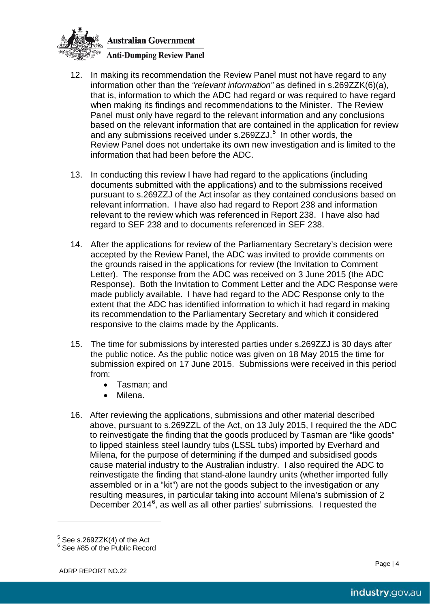

- 12. In making its recommendation the Review Panel must not have regard to any information other than the *"relevant information"* as defined in s.269ZZK(6)(a), that is, information to which the ADC had regard or was required to have regard when making its findings and recommendations to the Minister. The Review Panel must only have regard to the relevant information and any conclusions based on the relevant information that are contained in the application for review and any submissions received under s.269ZZJ.<sup>[5](#page-4-0)</sup> In other words, the Review Panel does not undertake its own new investigation and is limited to the information that had been before the ADC.
- 13. In conducting this review I have had regard to the applications (including documents submitted with the applications) and to the submissions received pursuant to s.269ZZJ of the Act insofar as they contained conclusions based on relevant information. I have also had regard to Report 238 and information relevant to the review which was referenced in Report 238. I have also had regard to SEF 238 and to documents referenced in SEF 238.
- 14. After the applications for review of the Parliamentary Secretary's decision were accepted by the Review Panel, the ADC was invited to provide comments on the grounds raised in the applications for review (the Invitation to Comment Letter). The response from the ADC was received on 3 June 2015 (the ADC Response). Both the Invitation to Comment Letter and the ADC Response were made publicly available. I have had regard to the ADC Response only to the extent that the ADC has identified information to which it had regard in making its recommendation to the Parliamentary Secretary and which it considered responsive to the claims made by the Applicants.
- 15. The time for submissions by interested parties under s.269ZZJ is 30 days after the public notice. As the public notice was given on 18 May 2015 the time for submission expired on 17 June 2015. Submissions were received in this period from:
	- Tasman; and
	- Milena.
- 16. After reviewing the applications, submissions and other material described above, pursuant to s.269ZZL of the Act, on 13 July 2015, I required the the ADC to reinvestigate the finding that the goods produced by Tasman are "like goods" to lipped stainless steel laundry tubs (LSSL tubs) imported by Everhard and Milena, for the purpose of determining if the dumped and subsidised goods cause material industry to the Australian industry. I also required the ADC to reinvestigate the finding that stand-alone laundry units (whether imported fully assembled or in a "kit") are not the goods subject to the investigation or any resulting measures, in particular taking into account Milena's submission of 2 December 2014 $<sup>6</sup>$  $<sup>6</sup>$  $<sup>6</sup>$ , as well as all other parties' submissions. I requested the</sup>

 $\overline{a}$ 

<span id="page-4-1"></span><span id="page-4-0"></span> $5$  See s.269ZZK(4) of the Act  $6$  See #85 of the Public Record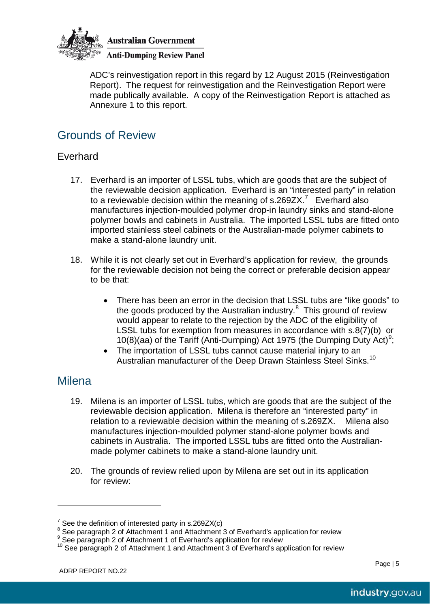

**Anti-Dumping Review Panel** 

ADC's reinvestigation report in this regard by 12 August 2015 (Reinvestigation Report). The request for reinvestigation and the Reinvestigation Report were made publically available. A copy of the Reinvestigation Report is attached as Annexure 1 to this report.

## <span id="page-5-0"></span>Grounds of Review

### Everhard

- 17. Everhard is an importer of LSSL tubs, which are goods that are the subject of the reviewable decision application. Everhard is an "interested party" in relation to a reviewable decision within the meaning of s.269ZX.<sup>[7](#page-5-1)</sup> Everhard also manufactures injection-moulded polymer drop-in laundry sinks and stand-alone polymer bowls and cabinets in Australia. The imported LSSL tubs are fitted onto imported stainless steel cabinets or the Australian-made polymer cabinets to make a stand-alone laundry unit.
- 18. While it is not clearly set out in Everhard's application for review, the grounds for the reviewable decision not being the correct or preferable decision appear to be that:
	- There has been an error in the decision that LSSL tubs are "like goods" to the goods produced by the Australian industry.<sup>[8](#page-5-2)</sup> This ground of review would appear to relate to the rejection by the ADC of the eligibility of LSSL tubs for exemption from measures in accordance with s.8(7)(b) or 10(8)(aa) of the Tariff (Anti-Dumping) Act 1[9](#page-5-3)75 (the Dumping Duty Act)<sup>9</sup>;
	- The importation of LSSL tubs cannot cause material injury to an Australian manufacturer of the Deep Drawn Stainless Steel Sinks.<sup>[10](#page-5-4)</sup>

## **Milena**

 $\overline{a}$ 

- 19. Milena is an importer of LSSL tubs, which are goods that are the subject of the reviewable decision application. Milena is therefore an "interested party" in relation to a reviewable decision within the meaning of s.269ZX. Milena also manufactures injection-moulded polymer stand-alone polymer bowls and cabinets in Australia. The imported LSSL tubs are fitted onto the Australianmade polymer cabinets to make a stand-alone laundry unit.
- 20. The grounds of review relied upon by Milena are set out in its application for review:

<span id="page-5-1"></span><sup>&</sup>lt;sup>7</sup> See the definition of interested party in s.269ZX(c)<br>
<sup>8</sup> See paragraph 2 of Attachment 1 and Attachment 3 of Everhard's application for review<br>
<sup>9</sup> See paragraph 2 of Attachment 1 of Everhard's application for review

<span id="page-5-3"></span><span id="page-5-2"></span>

<span id="page-5-4"></span>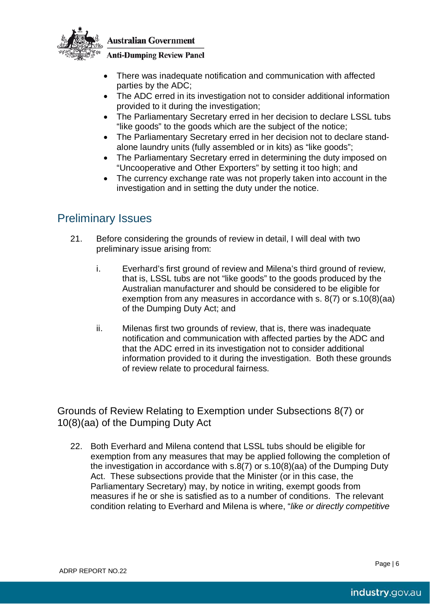

#### **Anti-Dumping Review Panel**

- There was inadequate notification and communication with affected parties by the ADC;
- The ADC erred in its investigation not to consider additional information provided to it during the investigation;
- The Parliamentary Secretary erred in her decision to declare LSSL tubs "like goods" to the goods which are the subject of the notice;
- The Parliamentary Secretary erred in her decision not to declare standalone laundry units (fully assembled or in kits) as "like goods";
- The Parliamentary Secretary erred in determining the duty imposed on "Uncooperative and Other Exporters" by setting it too high; and
- The currency exchange rate was not properly taken into account in the investigation and in setting the duty under the notice.

## <span id="page-6-0"></span>Preliminary Issues

- 21. Before considering the grounds of review in detail, I will deal with two preliminary issue arising from:
	- i. Everhard's first ground of review and Milena's third ground of review, that is, LSSL tubs are not "like goods" to the goods produced by the Australian manufacturer and should be considered to be eligible for exemption from any measures in accordance with s. 8(7) or s.10(8)(aa) of the Dumping Duty Act; and
	- ii. Milenas first two grounds of review, that is, there was inadequate notification and communication with affected parties by the ADC and that the ADC erred in its investigation not to consider additional information provided to it during the investigation. Both these grounds of review relate to procedural fairness.

Grounds of Review Relating to Exemption under Subsections 8(7) or 10(8)(aa) of the Dumping Duty Act

22. Both Everhard and Milena contend that LSSL tubs should be eligible for exemption from any measures that may be applied following the completion of the investigation in accordance with s.8(7) or s.10(8)(aa) of the Dumping Duty Act. These subsections provide that the Minister (or in this case, the Parliamentary Secretary) may, by notice in writing, exempt goods from measures if he or she is satisfied as to a number of conditions. The relevant condition relating to Everhard and Milena is where, "*like or directly competitive*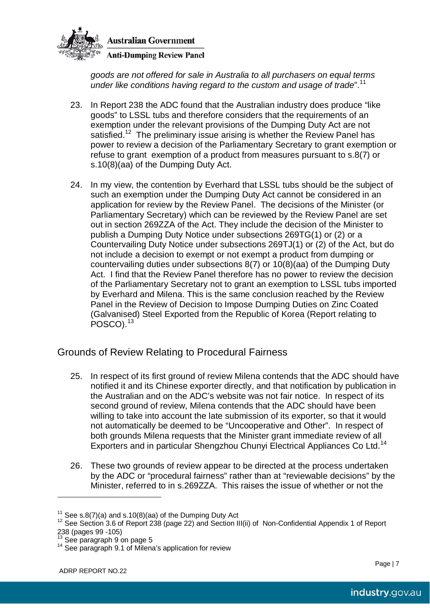

*goods are not offered for sale in Australia to all purchasers on equal terms under like conditions having regard to the custom and usage of trade*". [11](#page-7-0)

- 23. In Report 238 the ADC found that the Australian industry does produce "like goods" to LSSL tubs and therefore considers that the requirements of an exemption under the relevant provisions of the Dumping Duty Act are not satisfied.<sup>[12](#page-7-1)</sup> The preliminary issue arising is whether the Review Panel has power to review a decision of the Parliamentary Secretary to grant exemption or refuse to grant exemption of a product from measures pursuant to s.8(7) or s.10(8)(aa) of the Dumping Duty Act.
- 24. In my view, the contention by Everhard that LSSL tubs should be the subject of such an exemption under the Dumping Duty Act cannot be considered in an application for review by the Review Panel. The decisions of the Minister (or Parliamentary Secretary) which can be reviewed by the Review Panel are set out in section 269ZZA of the Act. They include the decision of the Minister to publish a Dumping Duty Notice under subsections 269TG(1) or (2) or a Countervailing Duty Notice under subsections 269TJ(1) or (2) of the Act, but do not include a decision to exempt or not exempt a product from dumping or countervailing duties under subsections 8(7) or 10(8)(aa) of the Dumping Duty Act. I find that the Review Panel therefore has no power to review the decision of the Parliamentary Secretary not to grant an exemption to LSSL tubs imported by Everhard and Milena. This is the same conclusion reached by the Review Panel in the Review of Decision to Impose Dumping Duties on Zinc Coated (Galvanised) Steel Exported from the Republic of Korea (Report relating to POSCO).<sup>[13](#page-7-2)</sup>

#### Grounds of Review Relating to Procedural Fairness

- 25. In respect of its first ground of review Milena contends that the ADC should have notified it and its Chinese exporter directly, and that notification by publication in the Australian and on the ADC's website was not fair notice. In respect of its second ground of review, Milena contends that the ADC should have been willing to take into account the late submission of its exporter, so that it would not automatically be deemed to be "Uncooperative and Other". In respect of both grounds Milena requests that the Minister grant immediate review of all Exporters and in particular Shengzhou Chunyi Electrical Appliances Co Ltd.<sup>[14](#page-7-3)</sup>
- 26. These two grounds of review appear to be directed at the process undertaken by the ADC or "procedural fairness" rather than at "reviewable decisions" by the Minister, referred to in s.269ZZA. This raises the issue of whether or not the

 $\overline{a}$ 

<span id="page-7-1"></span><span id="page-7-0"></span><sup>&</sup>lt;sup>11</sup> See s.8(7)(a) and s.10(8)(aa) of the Dumping Duty Act<br><sup>12</sup> See Section 3.6 of Report 238 (page 22) and Section III(ii) of Non-Confidential Appendix 1 of Report<br>238 (pages 99 -105)

<span id="page-7-3"></span><span id="page-7-2"></span>

<sup>&</sup>lt;sup>13</sup> See paragraph 9 on page 5<br><sup>14</sup> See paragraph 9.1 of Milena's application for review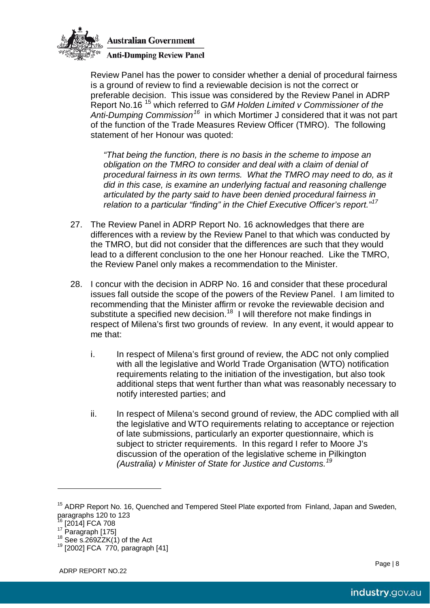

**Anti-Dumping Review Panel** 

Review Panel has the power to consider whether a denial of procedural fairness is a ground of review to find a reviewable decision is not the correct or preferable decision. This issue was considered by the Review Panel in ADRP Report No.16 [15](#page-8-0) which referred to *GM Holden Limited v Commissioner of the Anti-Dumping Commission[16](#page-8-1)* in which Mortimer J considered that it was not part of the function of the Trade Measures Review Officer (TMRO). The following statement of her Honour was quoted:

*"That being the function, there is no basis in the scheme to impose an obligation on the TMRO to consider and deal with a claim of denial of procedural fairness in its own terms. What the TMRO may need to do, as it did in this case, is examine an underlying factual and reasoning challenge articulated by the party said to have been denied procedural fairness in relation to a particular "finding" in the Chief Executive Officer's report."[17](#page-8-2)*

- 27. The Review Panel in ADRP Report No. 16 acknowledges that there are differences with a review by the Review Panel to that which was conducted by the TMRO, but did not consider that the differences are such that they would lead to a different conclusion to the one her Honour reached. Like the TMRO, the Review Panel only makes a recommendation to the Minister.
- 28. I concur with the decision in ADRP No. 16 and consider that these procedural issues fall outside the scope of the powers of the Review Panel. I am limited to recommending that the Minister affirm or revoke the reviewable decision and substitute a specified new decision.<sup>18</sup> I will therefore not make findings in respect of Milena's first two grounds of review. In any event, it would appear to me that:
	- i. In respect of Milena's first ground of review, the ADC not only complied with all the legislative and World Trade Organisation (WTO) notification requirements relating to the initiation of the investigation, but also took additional steps that went further than what was reasonably necessary to notify interested parties; and
	- ii. In respect of Milena's second ground of review, the ADC complied with all the legislative and WTO requirements relating to acceptance or rejection of late submissions, particularly an exporter questionnaire, which is subject to stricter requirements. In this regard I refer to Moore J's discussion of the operation of the legislative scheme in Pilkington *(Australia) v Minister of State for Justice and Customs. [19](#page-8-4)*

 $\overline{a}$ 

<span id="page-8-0"></span><sup>&</sup>lt;sup>15</sup> ADRP Report No. 16, Quenched and Tempered Steel Plate exported from Finland, Japan and Sweden, paragraphs 120 to 123<br><sup>16</sup> [2014] FCA 708

<span id="page-8-4"></span><span id="page-8-3"></span>

<span id="page-8-2"></span><span id="page-8-1"></span><sup>17</sup> Paragraph [175]<br><sup>18</sup> See s.269ZZK(1) of the Act <sup>19</sup> [2002] FCA 770, paragraph [41]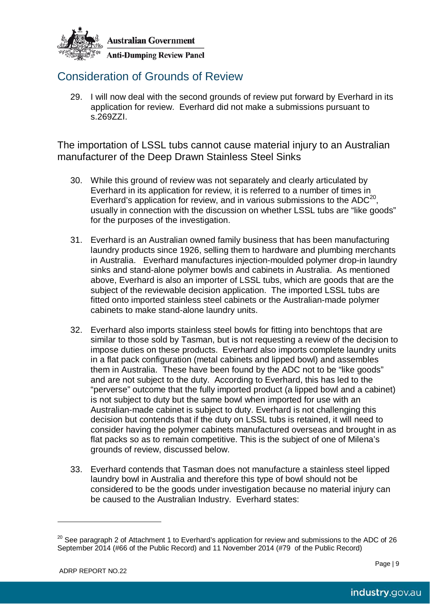

## <span id="page-9-0"></span>Consideration of Grounds of Review

29. I will now deal with the second grounds of review put forward by Everhard in its application for review. Everhard did not make a submissions pursuant to s.269ZZI.

The importation of LSSL tubs cannot cause material injury to an Australian manufacturer of the Deep Drawn Stainless Steel Sinks

- 30. While this ground of review was not separately and clearly articulated by Everhard in its application for review, it is referred to a number of times in Everhard's application for review, and in various submissions to the ADC<sup>20</sup>. usually in connection with the discussion on whether LSSL tubs are "like goods" for the purposes of the investigation.
- 31. Everhard is an Australian owned family business that has been manufacturing laundry products since 1926, selling them to hardware and plumbing merchants in Australia. Everhard manufactures injection-moulded polymer drop-in laundry sinks and stand-alone polymer bowls and cabinets in Australia. As mentioned above, Everhard is also an importer of LSSL tubs, which are goods that are the subject of the reviewable decision application. The imported LSSL tubs are fitted onto imported stainless steel cabinets or the Australian-made polymer cabinets to make stand-alone laundry units.
- 32. Everhard also imports stainless steel bowls for fitting into benchtops that are similar to those sold by Tasman, but is not requesting a review of the decision to impose duties on these products. Everhard also imports complete laundry units in a flat pack configuration (metal cabinets and lipped bowl) and assembles them in Australia. These have been found by the ADC not to be "like goods" and are not subject to the duty. According to Everhard, this has led to the "perverse" outcome that the fully imported product (a lipped bowl and a cabinet) is not subject to duty but the same bowl when imported for use with an Australian-made cabinet is subject to duty. Everhard is not challenging this decision but contends that if the duty on LSSL tubs is retained, it will need to consider having the polymer cabinets manufactured overseas and brought in as flat packs so as to remain competitive. This is the subject of one of Milena's grounds of review, discussed below.
- 33. Everhard contends that Tasman does not manufacture a stainless steel lipped laundry bowl in Australia and therefore this type of bowl should not be considered to be the goods under investigation because no material injury can be caused to the Australian Industry. Everhard states:

 $\overline{a}$ 

<span id="page-9-1"></span> $^{20}$  See paragraph 2 of Attachment 1 to Everhard's application for review and submissions to the ADC of 26 September 2014 (#66 of the Public Record) and 11 November 2014 (#79 of the Public Record)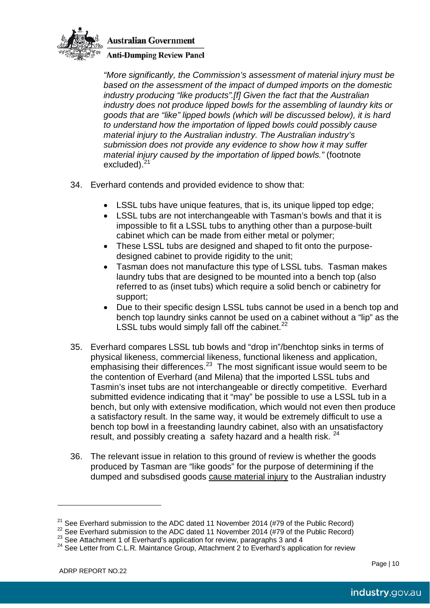

**Anti-Dumping Review Panel** 

*"More significantly, the Commission's assessment of material injury must be based on the assessment of the impact of dumped imports on the domestic industry producing "like products".[f] Given the fact that the Australian industry does not produce lipped bowls for the assembling of laundry kits or goods that are "like" lipped bowls (which will be discussed below), it is hard to understand how the importation of lipped bowls could possibly cause material injury to the Australian industry. The Australian industry's submission does not provide any evidence to show how it may suffer material injury caused by the importation of lipped bowls."* (footnote excluded).<sup>[21](#page-10-0)</sup>

- 34. Everhard contends and provided evidence to show that:
	- LSSL tubs have unique features, that is, its unique lipped top edge;
	- LSSL tubs are not interchangeable with Tasman's bowls and that it is impossible to fit a LSSL tubs to anything other than a purpose-built cabinet which can be made from either metal or polymer;
	- These LSSL tubs are designed and shaped to fit onto the purposedesigned cabinet to provide rigidity to the unit;
	- Tasman does not manufacture this type of LSSL tubs. Tasman makes laundry tubs that are designed to be mounted into a bench top (also referred to as (inset tubs) which require a solid bench or cabinetry for support;
	- Due to their specific design LSSL tubs cannot be used in a bench top and bench top laundry sinks cannot be used on a cabinet without a "lip" as the LSSL tubs would simply fall off the cabinet.<sup>[22](#page-10-1)</sup>
- 35. Everhard compares LSSL tub bowls and "drop in"/benchtop sinks in terms of physical likeness, commercial likeness, functional likeness and application, emphasising their differences.<sup>[23](#page-10-2)</sup> The most significant issue would seem to be the contention of Everhard (and Milena) that the imported LSSL tubs and Tasmin's inset tubs are not interchangeable or directly competitive. Everhard submitted evidence indicating that it "may" be possible to use a LSSL tub in a bench, but only with extensive modification, which would not even then produce a satisfactory result. In the same way, it would be extremely difficult to use a bench top bowl in a freestanding laundry cabinet, also with an unsatisfactory result, and possibly creating a safety hazard and a health risk.  $24$
- 36. The relevant issue in relation to this ground of review is whether the goods produced by Tasman are "like goods" for the purpose of determining if the dumped and subsdised goods cause material injury to the Australian industry

 $\overline{a}$ 

<span id="page-10-1"></span><span id="page-10-0"></span><sup>&</sup>lt;sup>21</sup> See Everhard submission to the ADC dated 11 November 2014 (#79 of the Public Record)<br><sup>22</sup> See Everhard submission to the ADC dated 11 November 2014 (#79 of the Public Record)<br><sup>23</sup> See Attachment 1 of Everhard's appli

<span id="page-10-2"></span>

<span id="page-10-3"></span>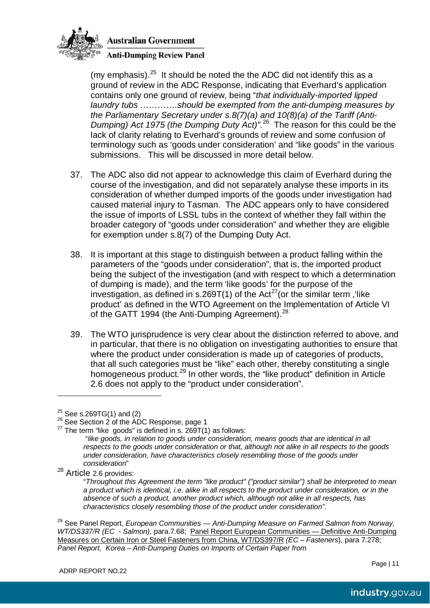

**Anti-Dumping Review Panel** 

(my emphasis). $^{25}$  It should be noted the the ADC did not identify this as a ground of review in the ADC Response, indicating that Everhard's application contains only one ground of review, being "*that individually-imported lipped laundry tubs ………….should be exempted from the anti-dumping measures by the Parliamentary Secretary under s.8(7)(a) and 10(8)(a) of the Tariff (Anti-Dumping) Act 1975 (the Dumping Duty Act)"*. [26](#page-11-1) The reason for this could be the lack of clarity relating to Everhard's grounds of review and some confusion of terminology such as 'goods under consideration' and "like goods" in the various submissions. This will be discussed in more detail below.

- 37. The ADC also did not appear to acknowledge this claim of Everhard during the course of the investigation, and did not separately analyse these imports in its consideration of whether dumped imports of the goods under investigation had caused material injury to Tasman. The ADC appears only to have considered the issue of imports of LSSL tubs in the context of whether they fall within the broader category of "goods under consideration" and whether they are eligible for exemption under s.8(7) of the Dumping Duty Act.
- 38. It is important at this stage to distinguish between a product falling within the parameters of the "goods under consideration", that is, the imported product being the subject of the investigation (and with respect to which a determination of dumping is made), and the term 'like goods' for the purpose of the investigation, as defined in s.269T(1) of the Act<sup>27</sup> (or the similar term, 'like product' as defined in the WTO Agreement on the Implementation of Article VI of the GATT 1994 (the Anti-Dumping Agreement).<sup>[28](#page-11-3)</sup>
- 39. The WTO jurisprudence is very clear about the distinction referred to above, and in particular, that there is no obligation on investigating authorities to ensure that where the product under consideration is made up of categories of products, that all such categories must be "like" each other, thereby constituting a single homogeneous product.<sup>[29](#page-11-4)</sup> In other words, the "like product" definition in Article 2.6 does not apply to the "product under consideration".

 $\overline{a}$ 

<span id="page-11-2"></span><span id="page-11-1"></span>

<span id="page-11-0"></span><sup>&</sup>lt;sup>25</sup> See s.269TG(1) and (2)<br><sup>26</sup> See Section 2 of the ADC Response, page 1<br><sup>27</sup> The term "like goods" is defined in s. 269T(1) as follows:

<sup>&</sup>quot;*like goods, in relation to goods under consideration, means goods that are identical in all respects to the goods under consideration or that, although not alike in all respects to the goods under consideration, have characteristics closely resembling those of the goods under* 

<span id="page-11-3"></span>*consideration*" <sup>28</sup> Article 2.6 provides:

<sup>&</sup>quot;*Throughout this Agreement the term "like product" ("product similar") shall be interpreted to mean a product which is identical, i.e. alike in all respects to the product under consideration, or in the absence of such a product, another product which, although not alike in all respects, has characteristics closely resembling those of the product under consideration".*

<span id="page-11-4"></span><sup>29</sup> See Panel Report, *European Communities — Anti-Dumping Measure on Farmed Salmon from Norway, WT/DS337/R (EC - Salmon),* para.7.68; Panel Report European Communities — Definitive Anti-Dumping Measures on Certain Iron or Steel Fasteners from China, WT/DS397/R *(EC – Fasteners*), para 7.278; *Panel Report, Korea – Anti-Dumping Duties on Imports of Certain Paper from*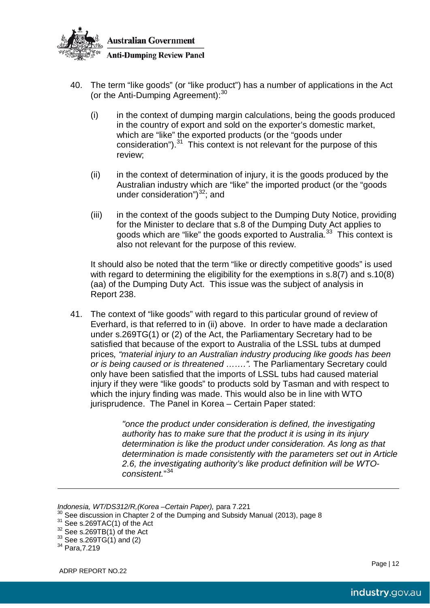

- 40. The term "like goods" (or "like product") has a number of applications in the Act (or the Anti-Dumping Agreement):<sup>[30](#page-12-0)</sup>
	- (i) in the context of dumping margin calculations, being the goods produced in the country of export and sold on the exporter's domestic market, which are "like" the exported products (or the "goods under consideration").<sup>[31](#page-12-1)</sup> This context is not relevant for the purpose of this review;
	- (ii) in the context of determination of injury, it is the goods produced by the Australian industry which are "like" the imported product (or the "goods under consideration")<sup>[32](#page-12-2)</sup>; and
	- (iii) in the context of the goods subject to the Dumping Duty Notice, providing for the Minister to declare that s.8 of the Dumping Duty Act applies to goods which are "like" the goods exported to Australia. $33$  This context is also not relevant for the purpose of this review.

It should also be noted that the term "like or directly competitive goods" is used with regard to determining the eligibility for the exemptions in s.8(7) and s.10(8) (aa) of the Dumping Duty Act. This issue was the subject of analysis in Report 238.

41. The context of "like goods" with regard to this particular ground of review of Everhard, is that referred to in (ii) above. In order to have made a declaration under s.269TG(1) or (2) of the Act, the Parliamentary Secretary had to be satisfied that because of the export to Australia of the LSSL tubs at dumped prices*, "material injury to an Australian industry producing like goods has been or is being caused or is threatened …….".* The Parliamentary Secretary could only have been satisfied that the imports of LSSL tubs had caused material injury if they were "like goods" to products sold by Tasman and with respect to which the injury finding was made. This would also be in line with WTO jurisprudence. The Panel in Korea – Certain Paper stated:

> *"once the product under consideration is defined, the investigating authority has to make sure that the product it is using in its injury determination is like the product under consideration. As long as that determination is made consistently with the parameters set out in Article 2.6, the investigating authority's like product definition will be WTOconsistent.*" [34](#page-12-4)

 $\overline{a}$ 

*Indonesia, WT/DS312/R,(Korea –Certain Paper),* para 7.221

<span id="page-12-1"></span><span id="page-12-0"></span><sup>&</sup>lt;sup>30</sup> See discussion in Chapter 2 of the Dumping and Subsidy Manual (2013), page 8<br><sup>31</sup> See s.269TAC(1) of the Act<br><sup>32</sup> See s.269TB(1) of the Act<br><sup>32</sup> See s.269TG(1) and (2)<br><sup>34</sup> Para,7.219

<span id="page-12-2"></span>

<span id="page-12-3"></span>

<span id="page-12-4"></span>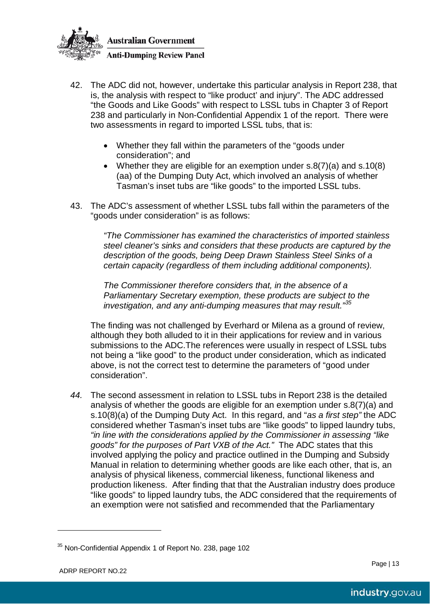

- 42. The ADC did not, however, undertake this particular analysis in Report 238, that is, the analysis with respect to "like product' and injury". The ADC addressed "the Goods and Like Goods" with respect to LSSL tubs in Chapter 3 of Report 238 and particularly in Non-Confidential Appendix 1 of the report. There were two assessments in regard to imported LSSL tubs, that is:
	- Whether they fall within the parameters of the "goods under consideration"; and
	- Whether they are eligible for an exemption under s.8(7)(a) and s.10(8) (aa) of the Dumping Duty Act, which involved an analysis of whether Tasman's inset tubs are "like goods" to the imported LSSL tubs.
- 43. The ADC's assessment of whether LSSL tubs fall within the parameters of the "goods under consideration" is as follows:

*"The Commissioner has examined the characteristics of imported stainless steel cleaner's sinks and considers that these products are captured by the description of the goods, being Deep Drawn Stainless Steel Sinks of a certain capacity (regardless of them including additional components).*

*The Commissioner therefore considers that, in the absence of a Parliamentary Secretary exemption, these products are subject to the investigation, and any anti-dumping measures that may result." [35](#page-13-0)*

The finding was not challenged by Everhard or Milena as a ground of review, although they both alluded to it in their applications for review and in various submissions to the ADC.The references were usually in respect of LSSL tubs not being a "like good" to the product under consideration, which as indicated above, is not the correct test to determine the parameters of "good under consideration".

*44.* The second assessment in relation to LSSL tubs in Report 238 is the detailed analysis of whether the goods are eligible for an exemption under s.8(7)(a) and s.10(8)(a) of the Dumping Duty Act. In this regard, and "*as a first step"* the ADC considered whether Tasman's inset tubs are "like goods" to lipped laundry tubs, *"in line with the considerations applied by the Commissioner in assessing "like goods" for the purposes of Part VXB of the Act."* The ADC states that this involved applying the policy and practice outlined in the Dumping and Subsidy Manual in relation to determining whether goods are like each other, that is, an analysis of physical likeness, commercial likeness, functional likeness and production likeness. After finding that that the Australian industry does produce "like goods" to lipped laundry tubs, the ADC considered that the requirements of an exemption were not satisfied and recommended that the Parliamentary

 $\overline{a}$ 

<span id="page-13-0"></span><sup>&</sup>lt;sup>35</sup> Non-Confidential Appendix 1 of Report No. 238, page 102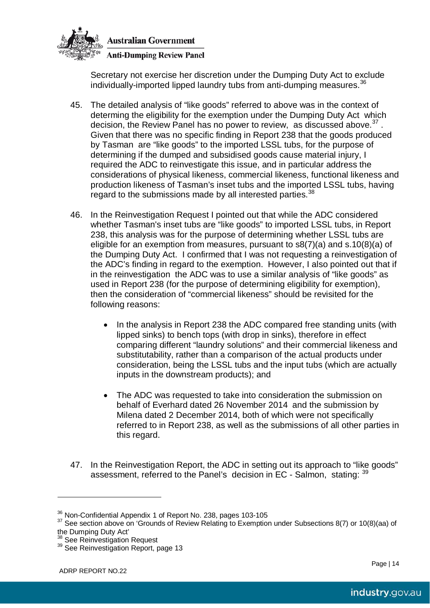

Secretary not exercise her discretion under the Dumping Duty Act to exclude individually-imported lipped laundry tubs from anti-dumping measures. [36](#page-14-0)

- 45. The detailed analysis of "like goods" referred to above was in the context of determing the eligibility for the exemption under the Dumping Duty Act which decision, the Review Panel has no power to review, as discussed above.<sup>[37](#page-14-1)</sup>. Given that there was no specific finding in Report 238 that the goods produced by Tasman are "like goods" to the imported LSSL tubs, for the purpose of determining if the dumped and subsidised goods cause material injury, I required the ADC to reinvestigate this issue, and in particular address the considerations of physical likeness, commercial likeness, functional likeness and production likeness of Tasman's inset tubs and the imported LSSL tubs, having regard to the submissions made by all interested parties.<sup>[38](#page-14-2)</sup>
- 46. In the Reinvestigation Request I pointed out that while the ADC considered whether Tasman's inset tubs are "like goods" to imported LSSL tubs, in Report 238, this analysis was for the purpose of determining whether LSSL tubs are eligible for an exemption from measures, pursuant to s8(7)(a) and s.10(8)(a) of the Dumping Duty Act. I confirmed that I was not requesting a reinvestigation of the ADC's finding in regard to the exemption. However, I also pointed out that if in the reinvestigation the ADC was to use a similar analysis of "like goods" as used in Report 238 (for the purpose of determining eligibility for exemption), then the consideration of "commercial likeness" should be revisited for the following reasons:
	- In the analysis in Report 238 the ADC compared free standing units (with lipped sinks) to bench tops (with drop in sinks), therefore in effect comparing different "laundry solutions" and their commercial likeness and substitutability, rather than a comparison of the actual products under consideration, being the LSSL tubs and the input tubs (which are actually inputs in the downstream products); and
	- The ADC was requested to take into consideration the submission on behalf of Everhard dated 26 November 2014 and the submission by Milena dated 2 December 2014, both of which were not specifically referred to in Report 238, as well as the submissions of all other parties in this regard.
- 47. In the Reinvestigation Report, the ADC in setting out its approach to "like goods" assessment, referred to the Panel's decision in EC - Salmon, stating: [39](#page-14-3)

 $\overline{a}$ 

<sup>&</sup>lt;sup>36</sup> Non-Confidential Appendix 1 of Report No. 238, pages 103-105

<span id="page-14-1"></span><span id="page-14-0"></span><sup>37</sup> See section above on 'Grounds of Review Relating to Exemption under Subsections 8(7) or 10(8)(aa) of the Dumping Duty Act'

<span id="page-14-3"></span><span id="page-14-2"></span><sup>&</sup>lt;sup>38</sup> See Reinvestigation Request<br><sup>39</sup> See Reinvestigation Report, page 13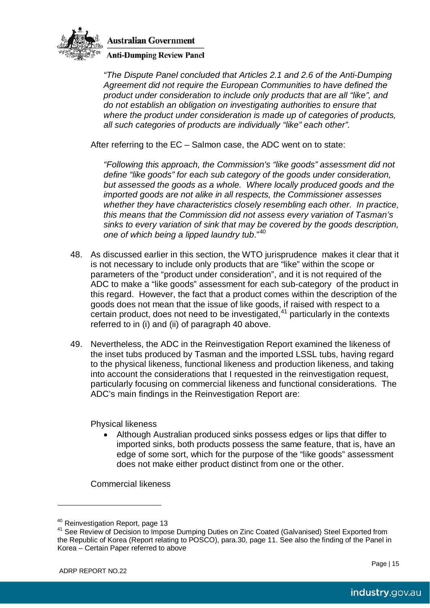

**Anti-Dumping Review Panel** 

*"The Dispute Panel concluded that Articles 2.1 and 2.6 of the Anti-Dumping Agreement did not require the European Communities to have defined the product under consideration to include only products that are all "like", and do not establish an obligation on investigating authorities to ensure that where the product under consideration is made up of categories of products, all such categories of products are individually "like" each other".* 

After referring to the EC – Salmon case, the ADC went on to state:

*"Following this approach, the Commission's "like goods" assessment did not define "like goods" for each sub category of the goods under consideration, but assessed the goods as a whole. Where locally produced goods and the imported goods are not alike in all respects, the Commissioner assesses whether they have characteristics closely resembling each other. In practice, this means that the Commission did not assess every variation of Tasman's sinks to every variation of sink that may be covered by the goods description, one of which being a lipped laundry tub*." [40](#page-15-0)

- 48. As discussed earlier in this section, the WTO jurisprudence makes it clear that it is not necessary to include only products that are "like" within the scope or parameters of the "product under consideration", and it is not required of the ADC to make a "like goods" assessment for each sub-category of the product in this regard. However, the fact that a product comes within the description of the goods does not mean that the issue of like goods, if raised with respect to a certain product, does not need to be investigated, $41$  particularly in the contexts referred to in (i) and (ii) of paragraph 40 above.
- 49. Nevertheless, the ADC in the Reinvestigation Report examined the likeness of the inset tubs produced by Tasman and the imported LSSL tubs, having regard to the physical likeness, functional likeness and production likeness, and taking into account the considerations that I requested in the reinvestigation request, particularly focusing on commercial likeness and functional considerations. The ADC's main findings in the Reinvestigation Report are:

Physical likeness

• Although Australian produced sinks possess edges or lips that differ to imported sinks, both products possess the same feature, that is, have an edge of some sort, which for the purpose of the "like goods" assessment does not make either product distinct from one or the other.

Commercial likeness

 $\overline{a}$ 

<span id="page-15-1"></span><span id="page-15-0"></span>

<sup>&</sup>lt;sup>40</sup> Reinvestigation Report, page 13<br><sup>41</sup> See Review of Decision to Impose Dumping Duties on Zinc Coated (Galvanised) Steel Exported from the Republic of Korea (Report relating to POSCO), para.30, page 11. See also the finding of the Panel in Korea – Certain Paper referred to above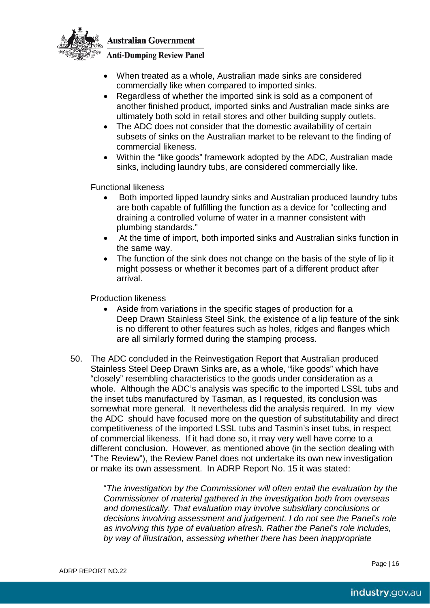

#### **Anti-Dumping Review Panel**

- When treated as a whole, Australian made sinks are considered commercially like when compared to imported sinks.
- Regardless of whether the imported sink is sold as a component of another finished product, imported sinks and Australian made sinks are ultimately both sold in retail stores and other building supply outlets.
- The ADC does not consider that the domestic availability of certain subsets of sinks on the Australian market to be relevant to the finding of commercial likeness.
- Within the "like goods" framework adopted by the ADC, Australian made sinks, including laundry tubs, are considered commercially like.

Functional likeness

- Both imported lipped laundry sinks and Australian produced laundry tubs are both capable of fulfilling the function as a device for "collecting and draining a controlled volume of water in a manner consistent with plumbing standards."
- At the time of import, both imported sinks and Australian sinks function in the same way.
- The function of the sink does not change on the basis of the style of lip it might possess or whether it becomes part of a different product after arrival.

Production likeness

- Aside from variations in the specific stages of production for a Deep Drawn Stainless Steel Sink, the existence of a lip feature of the sink is no different to other features such as holes, ridges and flanges which are all similarly formed during the stamping process.
- 50. The ADC concluded in the Reinvestigation Report that Australian produced Stainless Steel Deep Drawn Sinks are, as a whole, "like goods" which have "closely" resembling characteristics to the goods under consideration as a whole. Although the ADC's analysis was specific to the imported LSSL tubs and the inset tubs manufactured by Tasman, as I requested, its conclusion was somewhat more general. It nevertheless did the analysis required. In my view the ADC should have focused more on the question of substitutability and direct competitiveness of the imported LSSL tubs and Tasmin's inset tubs, in respect of commercial likeness. If it had done so, it may very well have come to a different conclusion. However, as mentioned above (in the section dealing with "The Review"), the Review Panel does not undertake its own new investigation or make its own assessment. In ADRP Report No. 15 it was stated:

"*The investigation by the Commissioner will often entail the evaluation by the Commissioner of material gathered in the investigation both from overseas and domestically. That evaluation may involve subsidiary conclusions or decisions involving assessment and judgement. I do not see the Panel's role as involving this type of evaluation afresh. Rather the Panel's role includes, by way of illustration, assessing whether there has been inappropriate*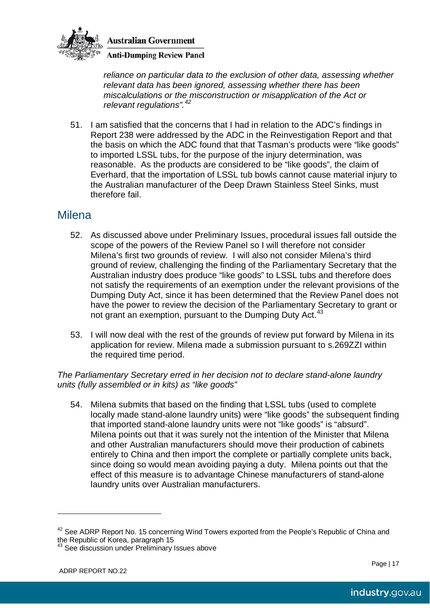

**Anti-Dumping Review Panel** 

*reliance on particular data to the exclusion of other data, assessing whether relevant data has been ignored, assessing whether there has been miscalculations or the misconstruction or misapplication of the Act or relevant regulations". [42](#page-17-0)*

51. I am satisfied that the concerns that I had in relation to the ADC's findings in Report 238 were addressed by the ADC in the Reinvestigation Report and that the basis on which the ADC found that that Tasman's products were "like goods" to imported LSSL tubs, for the purpose of the injury determination, was reasonable. As the products are considered to be "like goods", the claim of Everhard, that the importation of LSSL tub bowls cannot cause material injury to the Australian manufacturer of the Deep Drawn Stainless Steel Sinks, must therefore fail.

### Milena

- 52. As discussed above under Preliminary Issues, procedural issues fall outside the scope of the powers of the Review Panel so I will therefore not consider Milena's first two grounds of review. I will also not consider Milena's third ground of review, challenging the finding of the Parliamentary Secretary that the Australian industry does produce "like goods" to LSSL tubs and therefore does not satisfy the requirements of an exemption under the relevant provisions of the Dumping Duty Act, since it has been determined that the Review Panel does not have the power to review the decision of the Parliamentary Secretary to grant or not grant an exemption, pursuant to the Dumping Duty Act.<sup>[43](#page-17-1)</sup>
- 53. I will now deal with the rest of the grounds of review put forward by Milena in its application for review. Milena made a submission pursuant to s.269ZZI within the required time period.

*The Parliamentary Secretary erred in her decision not to declare stand-alone laundry units (fully assembled or in kits) as "like goods"* 

54. Milena submits that based on the finding that LSSL tubs (used to complete locally made stand-alone laundry units) were "like goods" the subsequent finding that imported stand-alone laundry units were not "like goods" is "absurd". Milena points out that it was surely not the intention of the Minister that Milena and other Australian manufacturers should move their production of cabinets entirely to China and then import the complete or partially complete units back, since doing so would mean avoiding paying a duty. Milena points out that the effect of this measure is to advantage Chinese manufacturers of stand-alone laundry units over Australian manufacturers.

 $\overline{a}$ 

<span id="page-17-0"></span> $42$  See ADRP Report No. 15 concerning Wind Towers exported from the People's Republic of China and the Republic of Korea, paragraph 15

<span id="page-17-1"></span> $43$  See discussion under Preliminary Issues above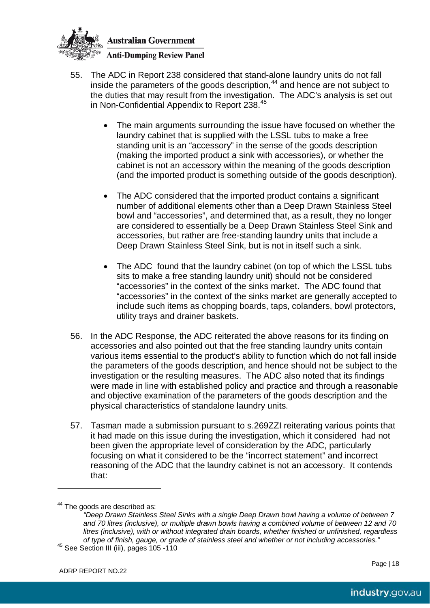

- 55. The ADC in Report 238 considered that stand-alone laundry units do not fall inside the parameters of the goods description, [44](#page-18-0) and hence are not subject to the duties that may result from the investigation. The ADC's analysis is set out in Non-Confidential Appendix to Report 238. [45](#page-18-1)
	- The main arguments surrounding the issue have focused on whether the laundry cabinet that is supplied with the LSSL tubs to make a free standing unit is an "accessory" in the sense of the goods description (making the imported product a sink with accessories), or whether the cabinet is not an accessory within the meaning of the goods description (and the imported product is something outside of the goods description).
	- The ADC considered that the imported product contains a significant number of additional elements other than a Deep Drawn Stainless Steel bowl and "accessories", and determined that, as a result, they no longer are considered to essentially be a Deep Drawn Stainless Steel Sink and accessories, but rather are free-standing laundry units that include a Deep Drawn Stainless Steel Sink, but is not in itself such a sink.
	- The ADC found that the laundry cabinet (on top of which the LSSL tubs sits to make a free standing laundry unit) should not be considered "accessories" in the context of the sinks market. The ADC found that "accessories" in the context of the sinks market are generally accepted to include such items as chopping boards, taps, colanders, bowl protectors, utility trays and drainer baskets.
- 56. In the ADC Response, the ADC reiterated the above reasons for its finding on accessories and also pointed out that the free standing laundry units contain various items essential to the product's ability to function which do not fall inside the parameters of the goods description, and hence should not be subject to the investigation or the resulting measures. The ADC also noted that its findings were made in line with established policy and practice and through a reasonable and objective examination of the parameters of the goods description and the physical characteristics of standalone laundry units.
- 57. Tasman made a submission pursuant to s.269ZZI reiterating various points that it had made on this issue during the investigation, which it considered had not been given the appropriate level of consideration by the ADC, particularly focusing on what it considered to be the "incorrect statement" and incorrect reasoning of the ADC that the laundry cabinet is not an accessory. It contends that:

 $\overline{a}$ 

<span id="page-18-0"></span><sup>&</sup>lt;sup>44</sup> The goods are described as:

<span id="page-18-1"></span>*<sup>&</sup>quot;Deep Drawn Stainless Steel Sinks with a single Deep Drawn bowl having a volume of between 7 and 70 litres (inclusive), or multiple drawn bowls having a combined volume of between 12 and 70 litres (inclusive), with or without integrated drain boards, whether finished or unfinished, regardless of type of finish, gauge, or grade of stainless steel and whether or not including accessories."* <sup>45</sup> See Section III (iii), pages 105 -110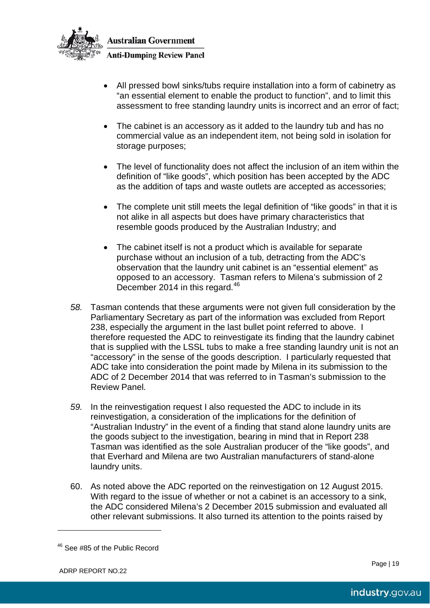

**Australian Government Anti-Dumping Review Panel** 

- All pressed bowl sinks/tubs require installation into a form of cabinetry as "an essential element to enable the product to function", and to limit this assessment to free standing laundry units is incorrect and an error of fact;
- The cabinet is an accessory as it added to the laundry tub and has no commercial value as an independent item, not being sold in isolation for storage purposes;
- The level of functionality does not affect the inclusion of an item within the definition of "like goods", which position has been accepted by the ADC as the addition of taps and waste outlets are accepted as accessories;
- The complete unit still meets the legal definition of "like goods" in that it is not alike in all aspects but does have primary characteristics that resemble goods produced by the Australian Industry; and
- The cabinet itself is not a product which is available for separate purchase without an inclusion of a tub, detracting from the ADC's observation that the laundry unit cabinet is an "essential element" as opposed to an accessory. Tasman refers to Milena's submission of 2 December 2014 in this regard.<sup>[46](#page-19-0)</sup>
- *58.* Tasman contends that these arguments were not given full consideration by the Parliamentary Secretary as part of the information was excluded from Report 238, especially the argument in the last bullet point referred to above. I therefore requested the ADC to reinvestigate its finding that the laundry cabinet that is supplied with the LSSL tubs to make a free standing laundry unit is not an "accessory" in the sense of the goods description. I particularly requested that ADC take into consideration the point made by Milena in its submission to the ADC of 2 December 2014 that was referred to in Tasman's submission to the Review Panel*.*
- *59.* In the reinvestigation request I also requested the ADC to include in its reinvestigation, a consideration of the implications for the definition of "Australian Industry" in the event of a finding that stand alone laundry units are the goods subject to the investigation, bearing in mind that in Report 238 Tasman was identified as the sole Australian producer of the "like goods", and that Everhard and Milena are two Australian manufacturers of stand-alone laundry units.
- 60. As noted above the ADC reported on the reinvestigation on 12 August 2015. With regard to the issue of whether or not a cabinet is an accessory to a sink, the ADC considered Milena's 2 December 2015 submission and evaluated all other relevant submissions. It also turned its attention to the points raised by

 $\overline{a}$ 

<span id="page-19-0"></span> $46$  See #85 of the Public Record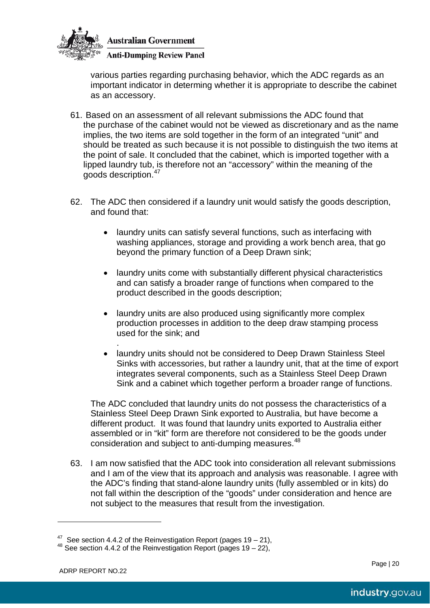

#### **Anti-Dumping Review Panel**

various parties regarding purchasing behavior, which the ADC regards as an important indicator in determing whether it is appropriate to describe the cabinet as an accessory.

- 61. Based on an assessment of all relevant submissions the ADC found that the purchase of the cabinet would not be viewed as discretionary and as the name implies, the two items are sold together in the form of an integrated "unit" and should be treated as such because it is not possible to distinguish the two items at the point of sale. It concluded that the cabinet, which is imported together with a lipped laundry tub, is therefore not an "accessory" within the meaning of the goods description.[47](#page-20-0)
- 62. The ADC then considered if a laundry unit would satisfy the goods description, and found that:
	- laundry units can satisfy several functions, such as interfacing with washing appliances, storage and providing a work bench area, that go beyond the primary function of a Deep Drawn sink;
	- laundry units come with substantially different physical characteristics and can satisfy a broader range of functions when compared to the product described in the goods description;
	- laundry units are also produced using significantly more complex production processes in addition to the deep draw stamping process used for the sink; and
	- . • laundry units should not be considered to Deep Drawn Stainless Steel Sinks with accessories, but rather a laundry unit, that at the time of export integrates several components, such as a Stainless Steel Deep Drawn Sink and a cabinet which together perform a broader range of functions.

The ADC concluded that laundry units do not possess the characteristics of a Stainless Steel Deep Drawn Sink exported to Australia, but have become a different product. It was found that laundry units exported to Australia either assembled or in "kit" form are therefore not considered to be the goods under consideration and subject to anti-dumping measures.<sup>[48](#page-20-1)</sup>

63. I am now satisfied that the ADC took into consideration all relevant submissions and I am of the view that its approach and analysis was reasonable. I agree with the ADC's finding that stand-alone laundry units (fully assembled or in kits) do not fall within the description of the "goods" under consideration and hence are not subject to the measures that result from the investigation.

 $\overline{a}$ 

<span id="page-20-0"></span><sup>&</sup>lt;sup>47</sup> See section 4.4.2 of the Reinvestigation Report (pages 19 – 21), <sup>48</sup> See section 4.4.2 of the Reinvestigation Report (pages 19 – 22),

<span id="page-20-1"></span>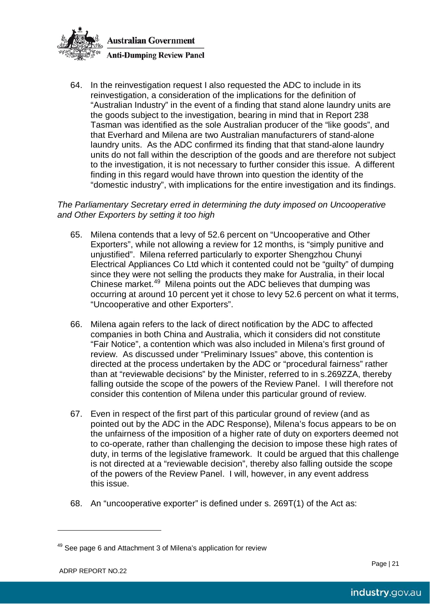

64. In the reinvestigation request I also requested the ADC to include in its reinvestigation, a consideration of the implications for the definition of "Australian Industry" in the event of a finding that stand alone laundry units are the goods subject to the investigation, bearing in mind that in Report 238 Tasman was identified as the sole Australian producer of the "like goods", and that Everhard and Milena are two Australian manufacturers of stand-alone laundry units. As the ADC confirmed its finding that that stand-alone laundry units do not fall within the description of the goods and are therefore not subject to the investigation, it is not necessary to further consider this issue. A different finding in this regard would have thrown into question the identity of the "domestic industry", with implications for the entire investigation and its findings.

*The Parliamentary Secretary erred in determining the duty imposed on Uncooperative and Other Exporters by setting it too high*

- 65. Milena contends that a levy of 52.6 percent on "Uncooperative and Other Exporters", while not allowing a review for 12 months, is "simply punitive and unjustified". Milena referred particularly to exporter Shengzhou Chunyi Electrical Appliances Co Ltd which it contented could not be "guilty" of dumping since they were not selling the products they make for Australia, in their local Chinese market.<sup>[49](#page-21-0)</sup> Milena points out the ADC believes that dumping was occurring at around 10 percent yet it chose to levy 52.6 percent on what it terms, "Uncooperative and other Exporters".
- 66. Milena again refers to the lack of direct notification by the ADC to affected companies in both China and Australia, which it considers did not constitute "Fair Notice", a contention which was also included in Milena's first ground of review. As discussed under "Preliminary Issues" above, this contention is directed at the process undertaken by the ADC or "procedural fairness" rather than at "reviewable decisions" by the Minister, referred to in s.269ZZA, thereby falling outside the scope of the powers of the Review Panel. I will therefore not consider this contention of Milena under this particular ground of review.
- 67. Even in respect of the first part of this particular ground of review (and as pointed out by the ADC in the ADC Response), Milena's focus appears to be on the unfairness of the imposition of a higher rate of duty on exporters deemed not to co-operate, rather than challenging the decision to impose these high rates of duty, in terms of the legislative framework. It could be argued that this challenge is not directed at a "reviewable decision", thereby also falling outside the scope of the powers of the Review Panel. I will, however, in any event address this issue.
- 68. An "uncooperative exporter" is defined under s. 269T(1) of the Act as:

 $\overline{a}$ 

<span id="page-21-0"></span> $49$  See page 6 and Attachment 3 of Milena's application for review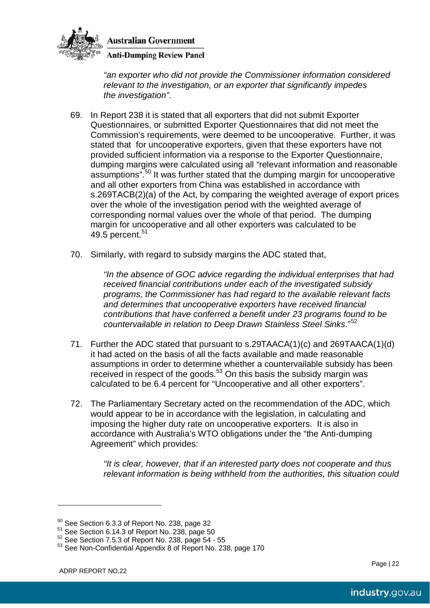

**Anti-Dumping Review Panel** 

*"an exporter who did not provide the Commissioner information considered relevant to the investigation, or an exporter that significantly impedes the investigation"*.

- 69. In Report 238 it is stated that all exporters that did not submit Exporter Questionnaires, or submitted Exporter Questionnaires that did not meet the Commission's requirements, were deemed to be uncooperative. Further, it was stated that for uncooperative exporters, given that these exporters have not provided sufficient information via a response to the Exporter Questionnaire, dumping margins were calculated using all "relevant information and reasonable assumptions".<sup>[50](#page-22-0)</sup> It was further stated that the dumping margin for uncooperative and all other exporters from China was established in accordance with s.269TACB(2)(a) of the Act, by comparing the weighted average of export prices over the whole of the investigation period with the weighted average of corresponding normal values over the whole of that period. The dumping margin for uncooperative and all other exporters was calculated to be 49.5 percent. $51$
- 70. Similarly, with regard to subsidy margins the ADC stated that,

*"In the absence of GOC advice regarding the individual enterprises that had received financial contributions under each of the investigated subsidy programs, the Commissioner has had regard to the available relevant facts and determines that uncooperative exporters have received financial contributions that have conferred a benefit under 23 programs found to be countervailable in relation to Deep Drawn Stainless Steel Sinks*."[52](#page-22-2)

- 71. Further the ADC stated that pursuant to s.29TAACA(1)(c) and 269TAACA(1)(d) it had acted on the basis of all the facts available and made reasonable assumptions in order to determine whether a countervailable subsidy has been received in respect of the goods.<sup>[53](#page-22-3)</sup> On this basis the subsidy margin was calculated to be 6.4 percent for "Uncooperative and all other exporters".
- 72. The Parliamentary Secretary acted on the recommendation of the ADC, which would appear to be in accordance with the legislation, in calculating and imposing the higher duty rate on uncooperative exporters. It is also in accordance with Australia's WTO obligations under the "the Anti-dumping Agreement" which provides:

*"It is clear, however, that if an interested party does not cooperate and thus relevant information is being withheld from the authorities, this situation could* 

 $\overline{a}$ 

<span id="page-22-1"></span><span id="page-22-0"></span> $50$  See Section 6.3.3 of Report No. 238, page 32<br> $51$  See Section 6.14.3 of Report No. 238, page 50<br> $52$  See Section 7.5.3 of Report No. 238, page 54 - 55

<span id="page-22-3"></span><span id="page-22-2"></span><sup>&</sup>lt;sup>53</sup> See Non-Confidential Appendix 8 of Report No. 238, page 170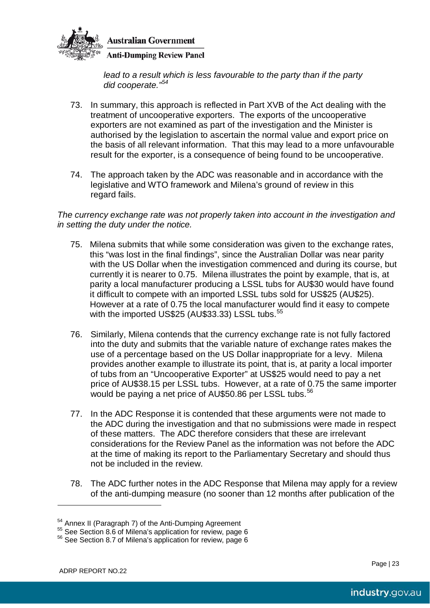

**Anti-Dumping Review Panel** 

*lead to a result which is less favourable to the party than if the party did cooperate."[54](#page-23-0)*

- 73. In summary, this approach is reflected in Part XVB of the Act dealing with the treatment of uncooperative exporters. The exports of the uncooperative exporters are not examined as part of the investigation and the Minister is authorised by the legislation to ascertain the normal value and export price on the basis of all relevant information. That this may lead to a more unfavourable result for the exporter, is a consequence of being found to be uncooperative.
- 74. The approach taken by the ADC was reasonable and in accordance with the legislative and WTO framework and Milena's ground of review in this regard fails.

*The currency exchange rate was not properly taken into account in the investigation and in setting the duty under the notice.*

- 75. Milena submits that while some consideration was given to the exchange rates, this "was lost in the final findings", since the Australian Dollar was near parity with the US Dollar when the investigation commenced and during its course, but currently it is nearer to 0.75. Milena illustrates the point by example, that is, at parity a local manufacturer producing a LSSL tubs for AU\$30 would have found it difficult to compete with an imported LSSL tubs sold for US\$25 (AU\$25). However at a rate of 0.75 the local manufacturer would find it easy to compete with the imported US\$25 (AU\$33.33) LSSL tubs. [55](#page-23-1)
- 76. Similarly, Milena contends that the currency exchange rate is not fully factored into the duty and submits that the variable nature of exchange rates makes the use of a percentage based on the US Dollar inappropriate for a levy. Milena provides another example to illustrate its point, that is, at parity a local importer of tubs from an "Uncooperative Exporter" at US\$25 would need to pay a net price of AU\$38.15 per LSSL tubs. However, at a rate of 0.75 the same importer would be paying a net price of AU\$50.86 per LSSL tubs. [56](#page-23-2)
- 77. In the ADC Response it is contended that these arguments were not made to the ADC during the investigation and that no submissions were made in respect of these matters. The ADC therefore considers that these are irrelevant considerations for the Review Panel as the information was not before the ADC at the time of making its report to the Parliamentary Secretary and should thus not be included in the review.
- 78. The ADC further notes in the ADC Response that Milena may apply for a review of the anti-dumping measure (no sooner than 12 months after publication of the

 $\overline{a}$ 

<span id="page-23-2"></span>

<span id="page-23-1"></span><span id="page-23-0"></span><sup>&</sup>lt;sup>54</sup> Annex II (Paragraph 7) of the Anti-Dumping Agreement  $^{55}$  See Section 8.6 of Milena's application for review, page 6  $^{56}$  See Section 8.7 of Milena's application for review, page 6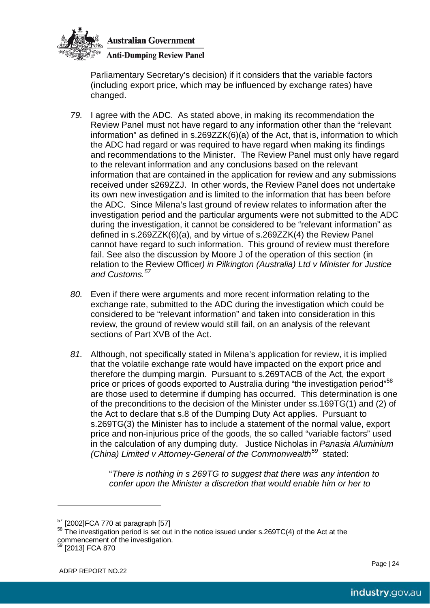

**Anti-Dumping Review Panel** 

Parliamentary Secretary's decision) if it considers that the variable factors (including export price, which may be influenced by exchange rates) have changed.

- *79.* I agree with the ADC. As stated above, in making its recommendation the Review Panel must not have regard to any information other than the "relevant information" as defined in s.269ZZK(6)(a) of the Act, that is, information to which the ADC had regard or was required to have regard when making its findings and recommendations to the Minister. The Review Panel must only have regard to the relevant information and any conclusions based on the relevant information that are contained in the application for review and any submissions received under s269ZZJ. In other words, the Review Panel does not undertake its own new investigation and is limited to the information that has been before the ADC. Since Milena's last ground of review relates to information after the investigation period and the particular arguments were not submitted to the ADC during the investigation, it cannot be considered to be "relevant information" as defined in s.269ZZK(6)(a), and by virtue of s.269ZZK(4) the Review Panel cannot have regard to such information. This ground of review must therefore fail. See also the discussion by Moore J of the operation of this section (in relation to the Review Officer*) in Pilkington (Australia) Ltd v Minister for Justice and Customs. [57](#page-24-0)*
- *80.* Even if there were arguments and more recent information relating to the exchange rate, submitted to the ADC during the investigation which could be considered to be "relevant information" and taken into consideration in this review, the ground of review would still fail, on an analysis of the relevant sections of Part XVB of the Act.
- *81.* Although, not specifically stated in Milena's application for review, it is implied that the volatile exchange rate would have impacted on the export price and therefore the dumping margin. Pursuant to s.269TACB of the Act, the export price or prices of goods exported to Australia during "the investigation period"<sup>[58](#page-24-1)</sup> are those used to determine if dumping has occurred. This determination is one of the preconditions to the decision of the Minister under ss.169TG(1) and (2) of the Act to declare that s.8 of the Dumping Duty Act applies. Pursuant to s.269TG(3) the Minister has to include a statement of the normal value, export price and non-injurious price of the goods, the so called "variable factors" used in the calculation of any dumping duty. Justice Nicholas in *Panasia Aluminium (China) Limited v Attorney-General of the Commonwealth[59](#page-24-2)* stated:

"*There is nothing in s 269TG to suggest that there was any intention to confer upon the Minister a discretion that would enable him or her to* 

 $\overline{a}$ 

<span id="page-24-1"></span><span id="page-24-0"></span> $<sup>57</sup>$  [2002]FCA 770 at paragraph [57]<br><sup>58</sup> The investigation period is set out in the notice issued under s.269TC(4) of the Act at the</sup> commencement of the investigation.

<span id="page-24-2"></span><sup>59</sup> [2013] FCA 870